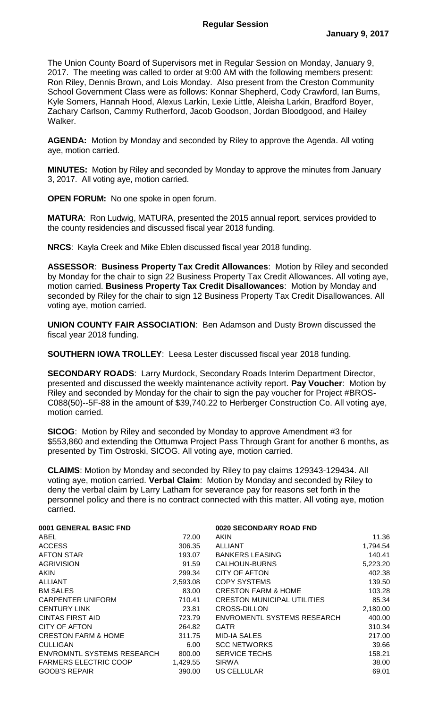The Union County Board of Supervisors met in Regular Session on Monday, January 9, 2017. The meeting was called to order at 9:00 AM with the following members present: Ron Riley, Dennis Brown, and Lois Monday. Also present from the Creston Community School Government Class were as follows: Konnar Shepherd, Cody Crawford, Ian Burns, Kyle Somers, Hannah Hood, Alexus Larkin, Lexie Little, Aleisha Larkin, Bradford Boyer, Zachary Carlson, Cammy Rutherford, Jacob Goodson, Jordan Bloodgood, and Hailey Walker.

**AGENDA:** Motion by Monday and seconded by Riley to approve the Agenda. All voting aye, motion carried.

**MINUTES:** Motion by Riley and seconded by Monday to approve the minutes from January 3, 2017. All voting aye, motion carried.

**OPEN FORUM:** No one spoke in open forum.

**MATURA**: Ron Ludwig, MATURA, presented the 2015 annual report, services provided to the county residencies and discussed fiscal year 2018 funding.

**NRCS**: Kayla Creek and Mike Eblen discussed fiscal year 2018 funding.

**ASSESSOR**: **Business Property Tax Credit Allowances**: Motion by Riley and seconded by Monday for the chair to sign 22 Business Property Tax Credit Allowances. All voting aye, motion carried. **Business Property Tax Credit Disallowances**: Motion by Monday and seconded by Riley for the chair to sign 12 Business Property Tax Credit Disallowances. All voting aye, motion carried.

**UNION COUNTY FAIR ASSOCIATION**: Ben Adamson and Dusty Brown discussed the fiscal year 2018 funding.

**SOUTHERN IOWA TROLLEY**: Leesa Lester discussed fiscal year 2018 funding.

**SECONDARY ROADS**: Larry Murdock, Secondary Roads Interim Department Director, presented and discussed the weekly maintenance activity report. **Pay Voucher**: Motion by Riley and seconded by Monday for the chair to sign the pay voucher for Project #BROS-C088(50)--5F-88 in the amount of \$39,740.22 to Herberger Construction Co. All voting aye, motion carried.

**SICOG**: Motion by Riley and seconded by Monday to approve Amendment #3 for \$553,860 and extending the Ottumwa Project Pass Through Grant for another 6 months, as presented by Tim Ostroski, SICOG. All voting aye, motion carried.

**CLAIMS**: Motion by Monday and seconded by Riley to pay claims 129343-129434. All voting aye, motion carried. **Verbal Claim**: Motion by Monday and seconded by Riley to deny the verbal claim by Larry Latham for severance pay for reasons set forth in the personnel policy and there is no contract connected with this matter. All voting aye, motion carried.

| 0001 GENERAL BASIC FND            |          | 0020 SECONDARY ROAD FND            |          |
|-----------------------------------|----------|------------------------------------|----------|
| ABEL                              | 72.00    | AKIN                               | 11.36    |
| <b>ACCESS</b>                     | 306.35   | <b>ALLIANT</b>                     | 1,794.54 |
| <b>AFTON STAR</b>                 | 193.07   | <b>BANKERS LEASING</b>             | 140.41   |
| <b>AGRIVISION</b>                 | 91.59    | CALHOUN-BURNS                      | 5,223.20 |
| <b>AKIN</b>                       | 299.34   | <b>CITY OF AFTON</b>               | 402.38   |
| ALLIANT                           | 2,593.08 | <b>COPY SYSTEMS</b>                | 139.50   |
| <b>BM SALES</b>                   | 83.00    | <b>CRESTON FARM &amp; HOME</b>     | 103.28   |
| <b>CARPENTER UNIFORM</b>          | 710.41   | <b>CRESTON MUNICIPAL UTILITIES</b> | 85.34    |
| <b>CENTURY LINK</b>               | 23.81    | CROSS-DILLON                       | 2,180.00 |
| <b>CINTAS FIRST AID</b>           | 723.79   | <b>ENVROMENTL SYSTEMS RESEARCH</b> | 400.00   |
| CITY OF AFTON                     | 264.82   | <b>GATR</b>                        | 310.34   |
| <b>CRESTON FARM &amp; HOME</b>    | 311.75   | <b>MID-IA SALES</b>                | 217.00   |
| <b>CULLIGAN</b>                   | 6.00     | <b>SCC NETWORKS</b>                | 39.66    |
| <b>ENVROMNTL SYSTEMS RESEARCH</b> | 800.00   | <b>SERVICE TECHS</b>               | 158.21   |
| <b>FARMERS ELECTRIC COOP</b>      | 1,429.55 | <b>SIRWA</b>                       | 38.00    |
| <b>GOOB'S REPAIR</b>              | 390.00   | US CELLULAR                        | 69.01    |